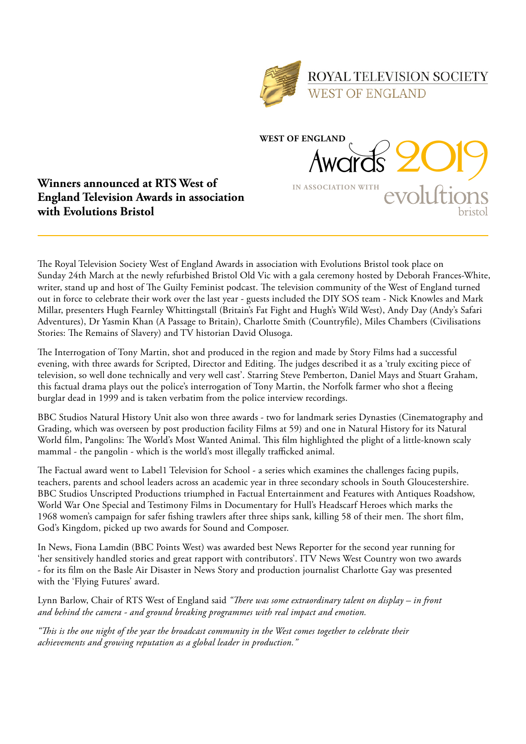

Awards 2019

**IN ASSOCIATION WITH**

**WEST OF ENGLAND**



The Royal Television Society West of England Awards in association with Evolutions Bristol took place on Sunday 24th March at the newly refurbished Bristol Old Vic with a gala ceremony hosted by Deborah Frances-White, writer, stand up and host of The Guilty Feminist podcast. The television community of the West of England turned out in force to celebrate their work over the last year - guests included the DIY SOS team - Nick Knowles and Mark Millar, presenters Hugh Fearnley Whittingstall (Britain's Fat Fight and Hugh's Wild West), Andy Day (Andy's Safari Adventures), Dr Yasmin Khan (A Passage to Britain), Charlotte Smith (Countryfile), Miles Chambers (Civilisations Stories: The Remains of Slavery) and TV historian David Olusoga.

The Interrogation of Tony Martin, shot and produced in the region and made by Story Films had a successful evening, with three awards for Scripted, Director and Editing. The judges described it as a 'truly exciting piece of television, so well done technically and very well cast'. Starring Steve Pemberton, Daniel Mays and Stuart Graham, this factual drama plays out the police's interrogation of Tony Martin, the Norfolk farmer who shot a fleeing burglar dead in 1999 and is taken verbatim from the police interview recordings.

BBC Studios Natural History Unit also won three awards - two for landmark series Dynasties (Cinematography and Grading, which was overseen by post production facility Films at 59) and one in Natural History for its Natural World film, Pangolins: The World's Most Wanted Animal. This film highlighted the plight of a little-known scaly mammal - the pangolin - which is the world's most illegally trafficked animal.

The Factual award went to Label1 Television for School - a series which examines the challenges facing pupils, teachers, parents and school leaders across an academic year in three secondary schools in South Gloucestershire. BBC Studios Unscripted Productions triumphed in Factual Entertainment and Features with Antiques Roadshow, World War One Special and Testimony Films in Documentary for Hull's Headscarf Heroes which marks the 1968 women's campaign for safer fishing trawlers after three ships sank, killing 58 of their men. The short film, God's Kingdom, picked up two awards for Sound and Composer.

In News, Fiona Lamdin (BBC Points West) was awarded best News Reporter for the second year running for 'her sensitively handled stories and great rapport with contributors'. ITV News West Country won two awards - for its film on the Basle Air Disaster in News Story and production journalist Charlotte Gay was presented with the 'Flying Futures' award.

Lynn Barlow, Chair of RTS West of England said *"There was some extraordinary talent on display – in front and behind the camera - and ground breaking programmes with real impact and emotion.* 

*"This is the one night of the year the broadcast community in the West comes together to celebrate their achievements and growing reputation as a global leader in production."*